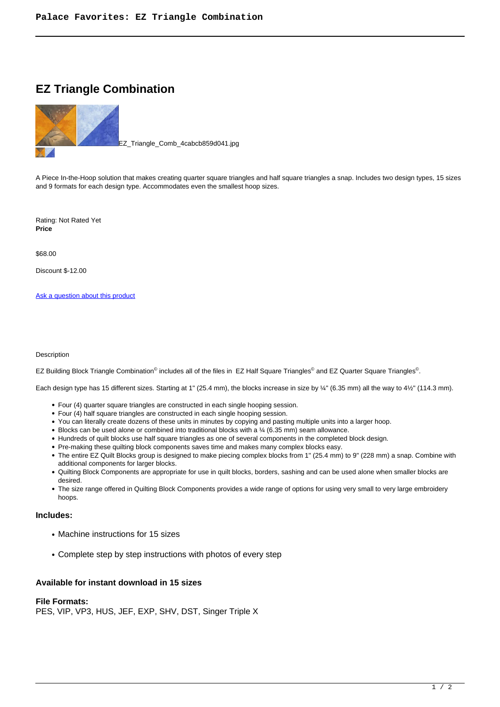# **EZ Triangle Combination**



EZ\_Triangle\_Comb\_4cabcb859d041.jpg

A Piece In-the-Hoop solution that makes creating quarter square triangles and half square triangles a snap. Includes two design types, 15 sizes and 9 formats for each design type. Accommodates even the smallest hoop sizes.

Rating: Not Rated Yet **Price** 

\$68.00

Discount \$-12.00

[Ask a question about this product](https://www.queenofstitching.com/index.php?option=com_virtuemart&view=productdetails&task=askquestion&virtuemart_product_id=112&virtuemart_category_id=13&tmpl=component)

#### Description

EZ Building Block Triangle Combination<sup>©</sup> includes all of the files in EZ Half Square Triangles<sup>©</sup> and EZ Quarter Square Triangles<sup>©</sup>.

Each design type has 15 different sizes. Starting at 1" (25.4 mm), the blocks increase in size by ¼" (6.35 mm) all the way to 4½" (114.3 mm).

- Four (4) quarter square triangles are constructed in each single hooping session.
- Four (4) half square triangles are constructed in each single hooping session.
- You can literally create dozens of these units in minutes by copying and pasting multiple units into a larger hoop.
- Blocks can be used alone or combined into traditional blocks with a 1/4 (6.35 mm) seam allowance.
- Hundreds of quilt blocks use half square triangles as one of several components in the completed block design.
- Pre-making these quilting block components saves time and makes many complex blocks easy.
- The entire EZ Quilt Blocks group is designed to make piecing complex blocks from 1" (25.4 mm) to 9" (228 mm) a snap. Combine with additional components for larger blocks.
- Quilting Block Components are appropriate for use in quilt blocks, borders, sashing and can be used alone when smaller blocks are desired.
- The size range offered in Quilting Block Components provides a wide range of options for using very small to very large embroidery hoops.

# **Includes:**

- Machine instructions for 15 sizes
- Complete step by step instructions with photos of every step

## **Available for instant download in 15 sizes**

#### **File Formats:**

PES, VIP, VP3, HUS, JEF, EXP, SHV, DST, Singer Triple X